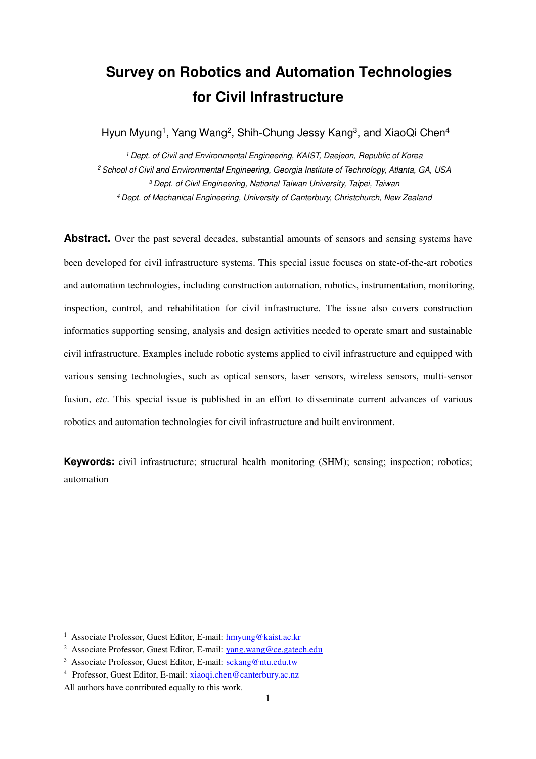# **Survey on Robotics and Automation Technologies for Civil Infrastructure**

Hyun Myung<sup>1</sup>, Yang Wang<sup>2</sup>, Shih-Chung Jessy Kang<sup>3</sup>, and XiaoQi Chen<sup>4</sup>

<sup>1</sup> Dept. of Civil and Environmental Engineering, KAIST, Daejeon, Republic of Korea <sup>2</sup> School of Civil and Environmental Engineering, Georgia Institute of Technology, Atlanta, GA, USA <sup>3</sup>Dept. of Civil Engineering, National Taiwan University, Taipei, Taiwan <sup>4</sup>Dept. of Mechanical Engineering, University of Canterbury, Christchurch, New Zealand

Abstract. Over the past several decades, substantial amounts of sensors and sensing systems have been developed for civil infrastructure systems. This special issue focuses on state-of-the-art robotics and automation technologies, including construction automation, robotics, instrumentation, monitoring, inspection, control, and rehabilitation for civil infrastructure. The issue also covers construction informatics supporting sensing, analysis and design activities needed to operate smart and sustainable civil infrastructure. Examples include robotic systems applied to civil infrastructure and equipped with various sensing technologies, such as optical sensors, laser sensors, wireless sensors, multi-sensor fusion, *etc*. This special issue is published in an effort to disseminate current advances of various robotics and automation technologies for civil infrastructure and built environment.

**Keywords:** civil infrastructure; structural health monitoring (SHM); sensing; inspection; robotics; automation

 $\overline{a}$ 

<sup>&</sup>lt;sup>1</sup> Associate Professor, Guest Editor, E-mail: hmyung@kaist.ac.kr

<sup>&</sup>lt;sup>2</sup> Associate Professor, Guest Editor, E-mail: yang.wang@ce.gatech.edu

<sup>&</sup>lt;sup>3</sup> Associate Professor, Guest Editor, E-mail: sckang@ntu.edu.tw

<sup>4</sup> Professor, Guest Editor, E-mail: xiaoqi.chen@canterbury.ac.nz

All authors have contributed equally to this work.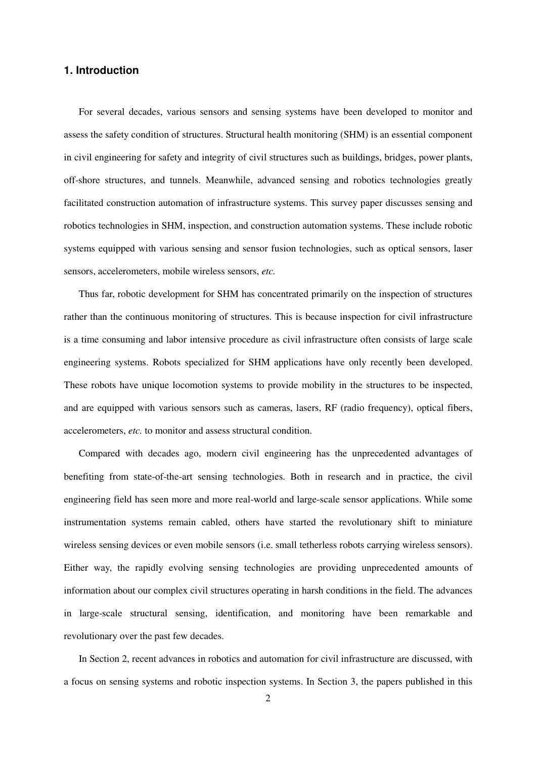## **1. Introduction**

For several decades, various sensors and sensing systems have been developed to monitor and assess the safety condition of structures. Structural health monitoring (SHM) is an essential component in civil engineering for safety and integrity of civil structures such as buildings, bridges, power plants, off-shore structures, and tunnels. Meanwhile, advanced sensing and robotics technologies greatly facilitated construction automation of infrastructure systems. This survey paper discusses sensing and robotics technologies in SHM, inspection, and construction automation systems. These include robotic systems equipped with various sensing and sensor fusion technologies, such as optical sensors, laser sensors, accelerometers, mobile wireless sensors, *etc.*

Thus far, robotic development for SHM has concentrated primarily on the inspection of structures rather than the continuous monitoring of structures. This is because inspection for civil infrastructure is a time consuming and labor intensive procedure as civil infrastructure often consists of large scale engineering systems. Robots specialized for SHM applications have only recently been developed. These robots have unique locomotion systems to provide mobility in the structures to be inspected, and are equipped with various sensors such as cameras, lasers, RF (radio frequency), optical fibers, accelerometers, *etc.* to monitor and assess structural condition.

Compared with decades ago, modern civil engineering has the unprecedented advantages of benefiting from state-of-the-art sensing technologies. Both in research and in practice, the civil engineering field has seen more and more real-world and large-scale sensor applications. While some instrumentation systems remain cabled, others have started the revolutionary shift to miniature wireless sensing devices or even mobile sensors (i.e. small tetherless robots carrying wireless sensors). Either way, the rapidly evolving sensing technologies are providing unprecedented amounts of information about our complex civil structures operating in harsh conditions in the field. The advances in large-scale structural sensing, identification, and monitoring have been remarkable and revolutionary over the past few decades.

In Section 2, recent advances in robotics and automation for civil infrastructure are discussed, with a focus on sensing systems and robotic inspection systems. In Section 3, the papers published in this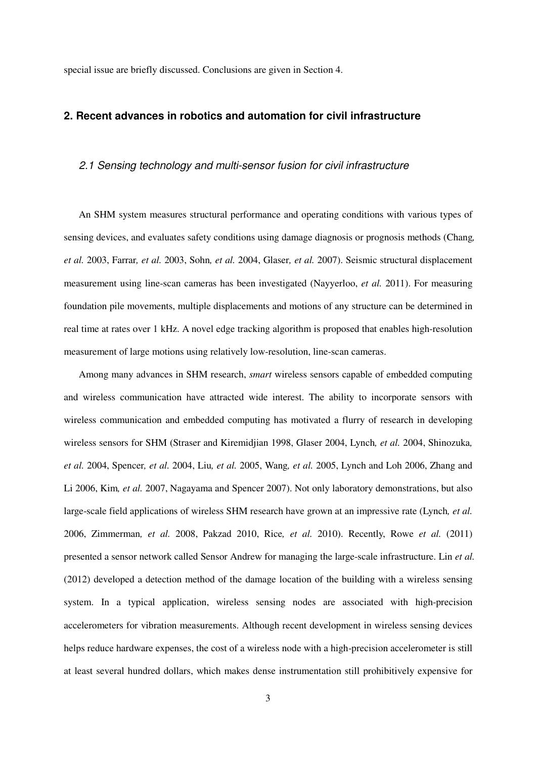special issue are briefly discussed. Conclusions are given in Section 4.

#### **2. Recent advances in robotics and automation for civil infrastructure**

## 2.1 Sensing technology and multi-sensor fusion for civil infrastructure

An SHM system measures structural performance and operating conditions with various types of sensing devices, and evaluates safety conditions using damage diagnosis or prognosis methods (Chang*, et al.* 2003, Farrar*, et al.* 2003, Sohn*, et al.* 2004, Glaser*, et al.* 2007). Seismic structural displacement measurement using line-scan cameras has been investigated (Nayyerloo, *et al.* 2011). For measuring foundation pile movements, multiple displacements and motions of any structure can be determined in real time at rates over 1 kHz. A novel edge tracking algorithm is proposed that enables high-resolution measurement of large motions using relatively low-resolution, line-scan cameras.

Among many advances in SHM research, *smart* wireless sensors capable of embedded computing and wireless communication have attracted wide interest. The ability to incorporate sensors with wireless communication and embedded computing has motivated a flurry of research in developing wireless sensors for SHM (Straser and Kiremidjian 1998, Glaser 2004, Lynch*, et al.* 2004, Shinozuka*, et al.* 2004, Spencer*, et al.* 2004, Liu*, et al.* 2005, Wang*, et al.* 2005, Lynch and Loh 2006, Zhang and Li 2006, Kim*, et al.* 2007, Nagayama and Spencer 2007). Not only laboratory demonstrations, but also large-scale field applications of wireless SHM research have grown at an impressive rate (Lynch*, et al.* 2006, Zimmerman*, et al.* 2008, Pakzad 2010, Rice*, et al.* 2010). Recently, Rowe *et al.* (2011) presented a sensor network called Sensor Andrew for managing the large-scale infrastructure. Lin *et al.* (2012) developed a detection method of the damage location of the building with a wireless sensing system. In a typical application, wireless sensing nodes are associated with high-precision accelerometers for vibration measurements. Although recent development in wireless sensing devices helps reduce hardware expenses, the cost of a wireless node with a high-precision accelerometer is still at least several hundred dollars, which makes dense instrumentation still prohibitively expensive for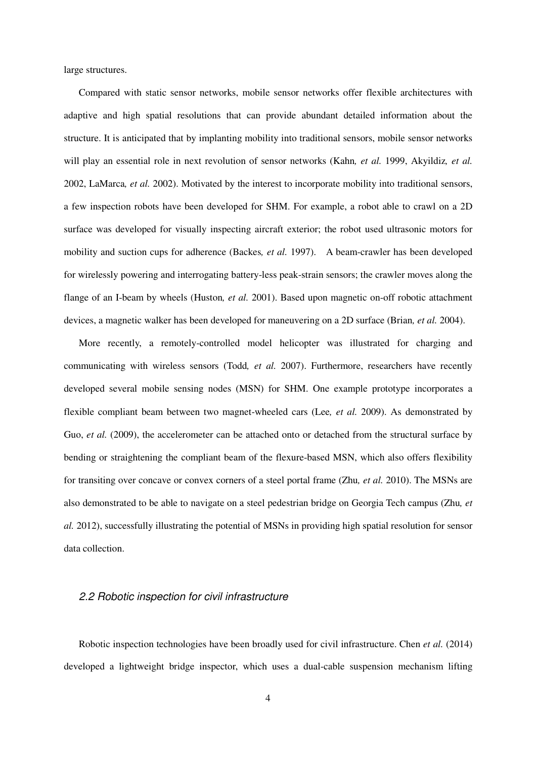large structures.

Compared with static sensor networks, mobile sensor networks offer flexible architectures with adaptive and high spatial resolutions that can provide abundant detailed information about the structure. It is anticipated that by implanting mobility into traditional sensors, mobile sensor networks will play an essential role in next revolution of sensor networks (Kahn*, et al.* 1999, Akyildiz*, et al.* 2002, LaMarca*, et al.* 2002). Motivated by the interest to incorporate mobility into traditional sensors, a few inspection robots have been developed for SHM. For example, a robot able to crawl on a 2D surface was developed for visually inspecting aircraft exterior; the robot used ultrasonic motors for mobility and suction cups for adherence (Backes*, et al.* 1997). A beam-crawler has been developed for wirelessly powering and interrogating battery-less peak-strain sensors; the crawler moves along the flange of an I-beam by wheels (Huston*, et al.* 2001). Based upon magnetic on-off robotic attachment devices, a magnetic walker has been developed for maneuvering on a 2D surface (Brian*, et al.* 2004).

More recently, a remotely-controlled model helicopter was illustrated for charging and communicating with wireless sensors (Todd*, et al.* 2007). Furthermore, researchers have recently developed several mobile sensing nodes (MSN) for SHM. One example prototype incorporates a flexible compliant beam between two magnet-wheeled cars (Lee*, et al.* 2009). As demonstrated by Guo, *et al.* (2009), the accelerometer can be attached onto or detached from the structural surface by bending or straightening the compliant beam of the flexure-based MSN, which also offers flexibility for transiting over concave or convex corners of a steel portal frame (Zhu*, et al.* 2010). The MSNs are also demonstrated to be able to navigate on a steel pedestrian bridge on Georgia Tech campus (Zhu*, et al.* 2012), successfully illustrating the potential of MSNs in providing high spatial resolution for sensor data collection.

#### 2.2 Robotic inspection for civil infrastructure

Robotic inspection technologies have been broadly used for civil infrastructure. Chen *et al.* (2014) developed a lightweight bridge inspector, which uses a dual-cable suspension mechanism lifting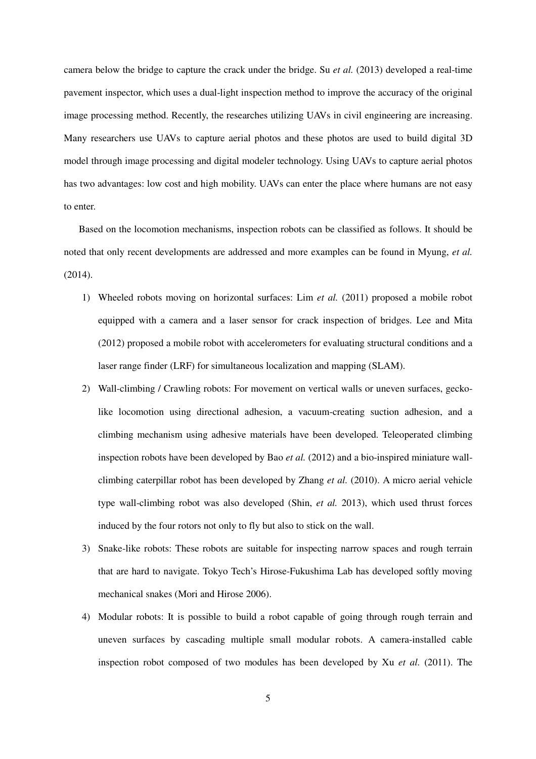camera below the bridge to capture the crack under the bridge. Su *et al.* (2013) developed a real-time pavement inspector, which uses a dual-light inspection method to improve the accuracy of the original image processing method. Recently, the researches utilizing UAVs in civil engineering are increasing. Many researchers use UAVs to capture aerial photos and these photos are used to build digital 3D model through image processing and digital modeler technology. Using UAVs to capture aerial photos has two advantages: low cost and high mobility. UAVs can enter the place where humans are not easy to enter.

Based on the locomotion mechanisms, inspection robots can be classified as follows. It should be noted that only recent developments are addressed and more examples can be found in Myung, *et al.*  (2014).

- 1) Wheeled robots moving on horizontal surfaces: Lim *et al.* (2011) proposed a mobile robot equipped with a camera and a laser sensor for crack inspection of bridges. Lee and Mita (2012) proposed a mobile robot with accelerometers for evaluating structural conditions and a laser range finder (LRF) for simultaneous localization and mapping (SLAM).
- 2) Wall-climbing / Crawling robots: For movement on vertical walls or uneven surfaces, geckolike locomotion using directional adhesion, a vacuum-creating suction adhesion, and a climbing mechanism using adhesive materials have been developed. Teleoperated climbing inspection robots have been developed by Bao *et al.* (2012) and a bio-inspired miniature wallclimbing caterpillar robot has been developed by Zhang *et al.* (2010). A micro aerial vehicle type wall-climbing robot was also developed (Shin, *et al.* 2013), which used thrust forces induced by the four rotors not only to fly but also to stick on the wall.
- 3) Snake-like robots: These robots are suitable for inspecting narrow spaces and rough terrain that are hard to navigate. Tokyo Tech's Hirose-Fukushima Lab has developed softly moving mechanical snakes (Mori and Hirose 2006).
- 4) Modular robots: It is possible to build a robot capable of going through rough terrain and uneven surfaces by cascading multiple small modular robots. A camera-installed cable inspection robot composed of two modules has been developed by Xu *et al.* (2011). The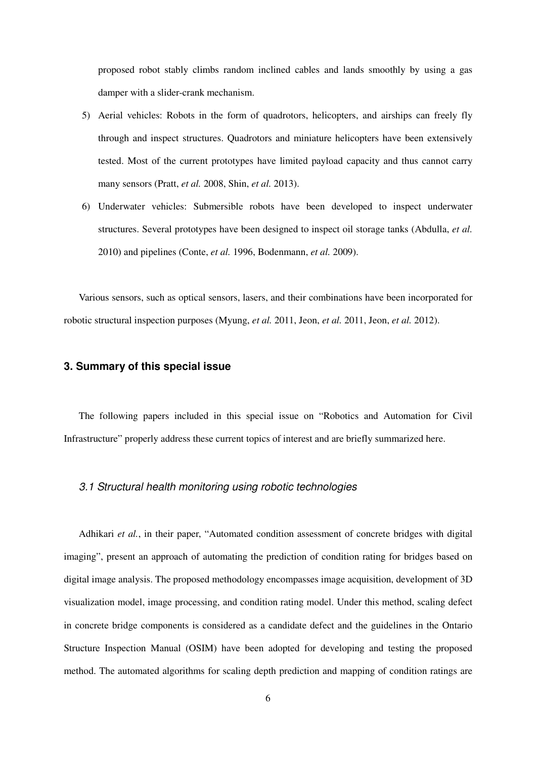proposed robot stably climbs random inclined cables and lands smoothly by using a gas damper with a slider-crank mechanism.

- 5) Aerial vehicles: Robots in the form of quadrotors, helicopters, and airships can freely fly through and inspect structures. Quadrotors and miniature helicopters have been extensively tested. Most of the current prototypes have limited payload capacity and thus cannot carry many sensors (Pratt, *et al.* 2008, Shin, *et al.* 2013).
- 6) Underwater vehicles: Submersible robots have been developed to inspect underwater structures. Several prototypes have been designed to inspect oil storage tanks (Abdulla, *et al.*  2010) and pipelines (Conte, *et al.* 1996, Bodenmann, *et al.* 2009).

Various sensors, such as optical sensors, lasers, and their combinations have been incorporated for robotic structural inspection purposes (Myung, *et al.* 2011, Jeon, *et al.* 2011, Jeon, *et al.* 2012).

# **3. Summary of this special issue**

The following papers included in this special issue on "Robotics and Automation for Civil Infrastructure" properly address these current topics of interest and are briefly summarized here.

#### 3.1 Structural health monitoring using robotic technologies

Adhikari *et al.*, in their paper, "Automated condition assessment of concrete bridges with digital imaging", present an approach of automating the prediction of condition rating for bridges based on digital image analysis. The proposed methodology encompasses image acquisition, development of 3D visualization model, image processing, and condition rating model. Under this method, scaling defect in concrete bridge components is considered as a candidate defect and the guidelines in the Ontario Structure Inspection Manual (OSIM) have been adopted for developing and testing the proposed method. The automated algorithms for scaling depth prediction and mapping of condition ratings are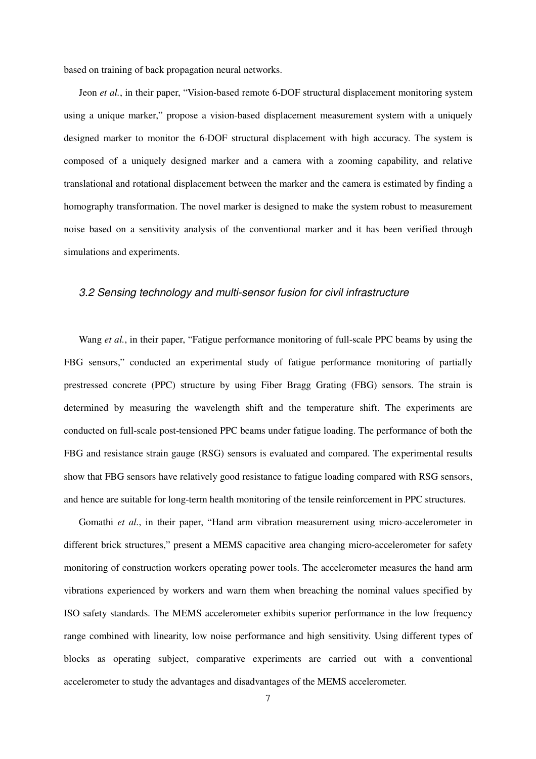based on training of back propagation neural networks.

Jeon *et al.*, in their paper, "Vision-based remote 6-DOF structural displacement monitoring system using a unique marker," propose a vision-based displacement measurement system with a uniquely designed marker to monitor the 6-DOF structural displacement with high accuracy. The system is composed of a uniquely designed marker and a camera with a zooming capability, and relative translational and rotational displacement between the marker and the camera is estimated by finding a homography transformation. The novel marker is designed to make the system robust to measurement noise based on a sensitivity analysis of the conventional marker and it has been verified through simulations and experiments.

#### 3.2 Sensing technology and multi-sensor fusion for civil infrastructure

Wang *et al.*, in their paper, "Fatigue performance monitoring of full-scale PPC beams by using the FBG sensors," conducted an experimental study of fatigue performance monitoring of partially prestressed concrete (PPC) structure by using Fiber Bragg Grating (FBG) sensors. The strain is determined by measuring the wavelength shift and the temperature shift. The experiments are conducted on full-scale post-tensioned PPC beams under fatigue loading. The performance of both the FBG and resistance strain gauge (RSG) sensors is evaluated and compared. The experimental results show that FBG sensors have relatively good resistance to fatigue loading compared with RSG sensors, and hence are suitable for long-term health monitoring of the tensile reinforcement in PPC structures.

Gomathi *et al.*, in their paper, "Hand arm vibration measurement using micro-accelerometer in different brick structures," present a MEMS capacitive area changing micro-accelerometer for safety monitoring of construction workers operating power tools. The accelerometer measures the hand arm vibrations experienced by workers and warn them when breaching the nominal values specified by ISO safety standards. The MEMS accelerometer exhibits superior performance in the low frequency range combined with linearity, low noise performance and high sensitivity. Using different types of blocks as operating subject, comparative experiments are carried out with a conventional accelerometer to study the advantages and disadvantages of the MEMS accelerometer.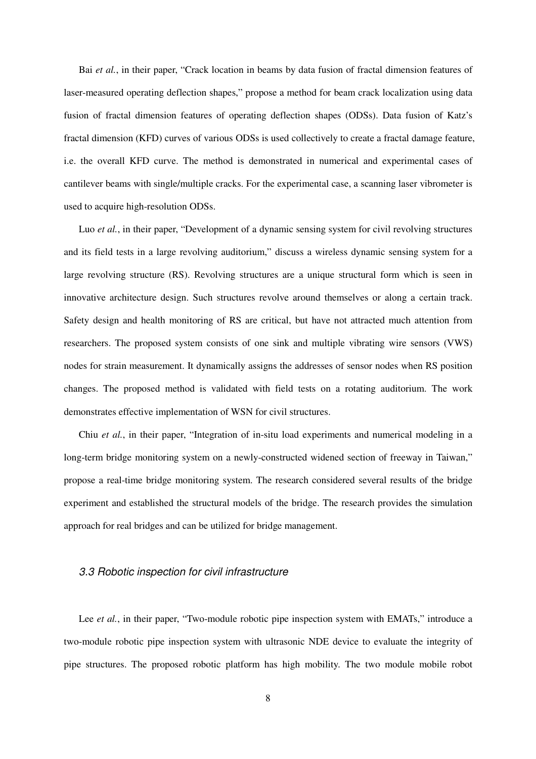Bai *et al.*, in their paper, "Crack location in beams by data fusion of fractal dimension features of laser-measured operating deflection shapes," propose a method for beam crack localization using data fusion of fractal dimension features of operating deflection shapes (ODSs). Data fusion of Katz's fractal dimension (KFD) curves of various ODSs is used collectively to create a fractal damage feature, i.e. the overall KFD curve. The method is demonstrated in numerical and experimental cases of cantilever beams with single/multiple cracks. For the experimental case, a scanning laser vibrometer is used to acquire high-resolution ODSs.

Luo *et al.*, in their paper, "Development of a dynamic sensing system for civil revolving structures and its field tests in a large revolving auditorium," discuss a wireless dynamic sensing system for a large revolving structure (RS). Revolving structures are a unique structural form which is seen in innovative architecture design. Such structures revolve around themselves or along a certain track. Safety design and health monitoring of RS are critical, but have not attracted much attention from researchers. The proposed system consists of one sink and multiple vibrating wire sensors (VWS) nodes for strain measurement. It dynamically assigns the addresses of sensor nodes when RS position changes. The proposed method is validated with field tests on a rotating auditorium. The work demonstrates effective implementation of WSN for civil structures.

Chiu *et al.*, in their paper, "Integration of in-situ load experiments and numerical modeling in a long-term bridge monitoring system on a newly-constructed widened section of freeway in Taiwan," propose a real-time bridge monitoring system. The research considered several results of the bridge experiment and established the structural models of the bridge. The research provides the simulation approach for real bridges and can be utilized for bridge management.

#### 3.3 Robotic inspection for civil infrastructure

Lee *et al.*, in their paper, "Two-module robotic pipe inspection system with EMATs," introduce a two-module robotic pipe inspection system with ultrasonic NDE device to evaluate the integrity of pipe structures. The proposed robotic platform has high mobility. The two module mobile robot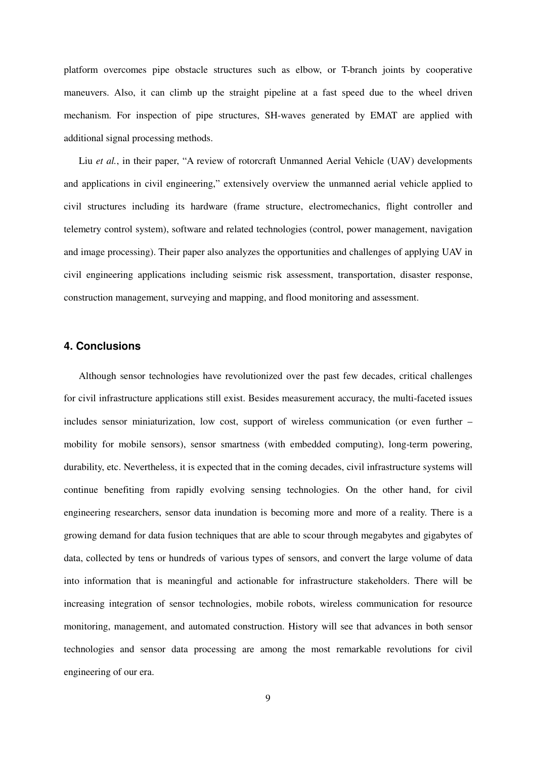platform overcomes pipe obstacle structures such as elbow, or T-branch joints by cooperative maneuvers. Also, it can climb up the straight pipeline at a fast speed due to the wheel driven mechanism. For inspection of pipe structures, SH-waves generated by EMAT are applied with additional signal processing methods.

Liu *et al.*, in their paper, "A review of rotorcraft Unmanned Aerial Vehicle (UAV) developments and applications in civil engineering," extensively overview the unmanned aerial vehicle applied to civil structures including its hardware (frame structure, electromechanics, flight controller and telemetry control system), software and related technologies (control, power management, navigation and image processing). Their paper also analyzes the opportunities and challenges of applying UAV in civil engineering applications including seismic risk assessment, transportation, disaster response, construction management, surveying and mapping, and flood monitoring and assessment.

## **4. Conclusions**

Although sensor technologies have revolutionized over the past few decades, critical challenges for civil infrastructure applications still exist. Besides measurement accuracy, the multi-faceted issues includes sensor miniaturization, low cost, support of wireless communication (or even further – mobility for mobile sensors), sensor smartness (with embedded computing), long-term powering, durability, etc. Nevertheless, it is expected that in the coming decades, civil infrastructure systems will continue benefiting from rapidly evolving sensing technologies. On the other hand, for civil engineering researchers, sensor data inundation is becoming more and more of a reality. There is a growing demand for data fusion techniques that are able to scour through megabytes and gigabytes of data, collected by tens or hundreds of various types of sensors, and convert the large volume of data into information that is meaningful and actionable for infrastructure stakeholders. There will be increasing integration of sensor technologies, mobile robots, wireless communication for resource monitoring, management, and automated construction. History will see that advances in both sensor technologies and sensor data processing are among the most remarkable revolutions for civil engineering of our era.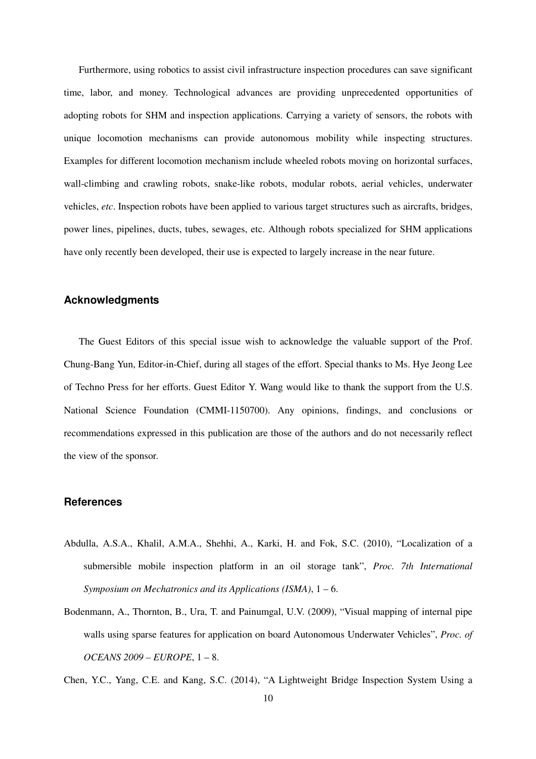Furthermore, using robotics to assist civil infrastructure inspection procedures can save significant time, labor, and money. Technological advances are providing unprecedented opportunities of adopting robots for SHM and inspection applications. Carrying a variety of sensors, the robots with unique locomotion mechanisms can provide autonomous mobility while inspecting structures. Examples for different locomotion mechanism include wheeled robots moving on horizontal surfaces, wall-climbing and crawling robots, snake-like robots, modular robots, aerial vehicles, underwater vehicles, *etc*. Inspection robots have been applied to various target structures such as aircrafts, bridges, power lines, pipelines, ducts, tubes, sewages, etc. Although robots specialized for SHM applications have only recently been developed, their use is expected to largely increase in the near future.

## **Acknowledgments**

The Guest Editors of this special issue wish to acknowledge the valuable support of the Prof. Chung-Bang Yun, Editor-in-Chief, during all stages of the effort. Special thanks to Ms. Hye Jeong Lee of Techno Press for her efforts. Guest Editor Y. Wang would like to thank the support from the U.S. National Science Foundation (CMMI-1150700). Any opinions, findings, and conclusions or recommendations expressed in this publication are those of the authors and do not necessarily reflect the view of the sponsor.

### **References**

- Abdulla, A.S.A., Khalil, A.M.A., Shehhi, A., Karki, H. and Fok, S.C. (2010), "Localization of a submersible mobile inspection platform in an oil storage tank", *Proc. 7th International Symposium on Mechatronics and its Applications (ISMA)*, 1 – 6.
- Bodenmann, A., Thornton, B., Ura, T. and Painumgal, U.V. (2009), "Visual mapping of internal pipe walls using sparse features for application on board Autonomous Underwater Vehicles", *Proc. of OCEANS 2009 – EUROPE*, 1 – 8.

Chen, Y.C., Yang, C.E. and Kang, S.C. (2014), "A Lightweight Bridge Inspection System Using a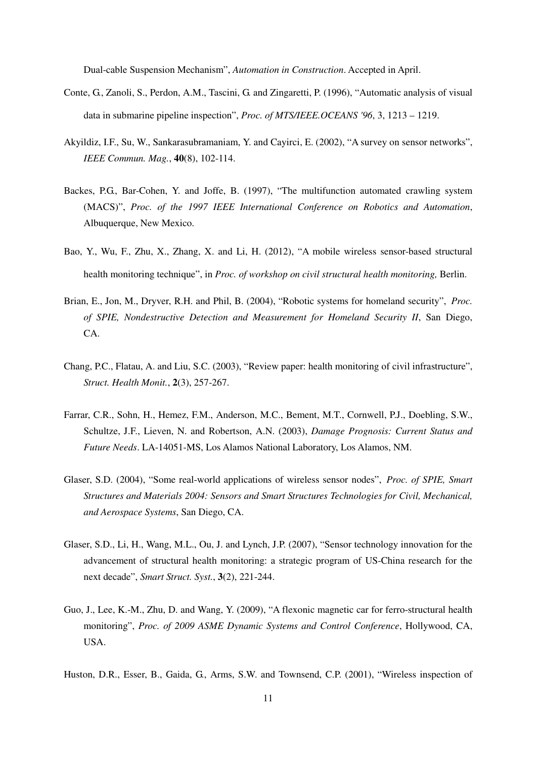Dual-cable Suspension Mechanism", *Automation in Construction*. Accepted in April.

- Conte, G., Zanoli, S., Perdon, A.M., Tascini, G. and Zingaretti, P. (1996), "Automatic analysis of visual data in submarine pipeline inspection", *Proc. of MTS/IEEE.OCEANS '96*, 3, 1213 – 1219.
- Akyildiz, I.F., Su, W., Sankarasubramaniam, Y. and Cayirci, E. (2002), "A survey on sensor networks", *IEEE Commun. Mag.*, **40**(8), 102-114.
- Backes, P.G., Bar-Cohen, Y. and Joffe, B. (1997), "The multifunction automated crawling system (MACS)", *Proc. of the 1997 IEEE International Conference on Robotics and Automation*, Albuquerque, New Mexico.
- Bao, Y., Wu, F., Zhu, X., Zhang, X. and Li, H. (2012), "A mobile wireless sensor-based structural health monitoring technique", in *Proc. of workshop on civil structural health monitoring,* Berlin.
- Brian, E., Jon, M., Dryver, R.H. and Phil, B. (2004), "Robotic systems for homeland security", *Proc. of SPIE, Nondestructive Detection and Measurement for Homeland Security II*, San Diego, CA.
- Chang, P.C., Flatau, A. and Liu, S.C. (2003), "Review paper: health monitoring of civil infrastructure", *Struct. Health Monit.*, **2**(3), 257-267.
- Farrar, C.R., Sohn, H., Hemez, F.M., Anderson, M.C., Bement, M.T., Cornwell, P.J., Doebling, S.W., Schultze, J.F., Lieven, N. and Robertson, A.N. (2003), *Damage Prognosis: Current Status and Future Needs*. LA-14051-MS, Los Alamos National Laboratory, Los Alamos, NM.
- Glaser, S.D. (2004), "Some real-world applications of wireless sensor nodes", *Proc. of SPIE, Smart Structures and Materials 2004: Sensors and Smart Structures Technologies for Civil, Mechanical, and Aerospace Systems*, San Diego, CA.
- Glaser, S.D., Li, H., Wang, M.L., Ou, J. and Lynch, J.P. (2007), "Sensor technology innovation for the advancement of structural health monitoring: a strategic program of US-China research for the next decade", *Smart Struct. Syst.*, **3**(2), 221-244.
- Guo, J., Lee, K.-M., Zhu, D. and Wang, Y. (2009), "A flexonic magnetic car for ferro-structural health monitoring", *Proc. of 2009 ASME Dynamic Systems and Control Conference*, Hollywood, CA, USA.
- Huston, D.R., Esser, B., Gaida, G., Arms, S.W. and Townsend, C.P. (2001), "Wireless inspection of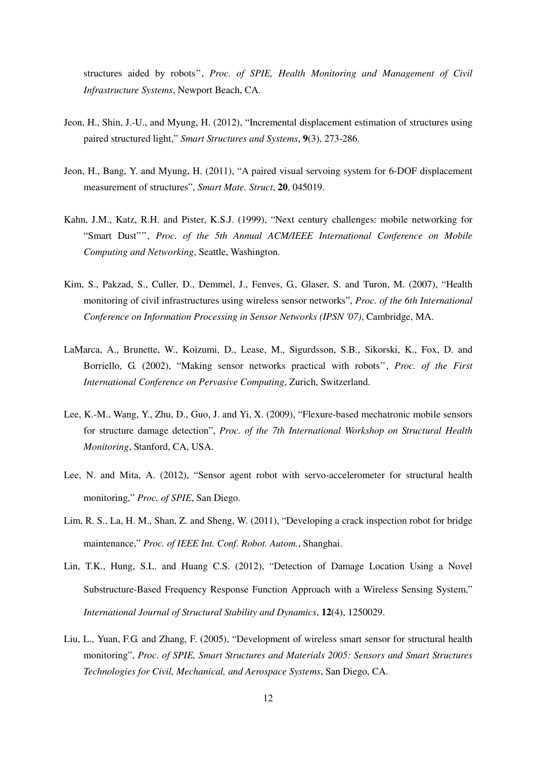structures aided by robots", *Proc. of SPIE, Health Monitoring and Management of Civil Infrastructure Systems*, Newport Beach, CA.

- Jeon, H., Shin, J.-U., and Myung, H. (2012), "Incremental displacement estimation of structures using paired structured light," *Smart Structures and Systems*, **9**(3), 273-286.
- Jeon, H., Bang, Y. and Myung, H. (2011), "A paired visual servoing system for 6-DOF displacement measurement of structures", *Smart Mate. Struct*, **20**, 045019.
- Kahn, J.M., Katz, R.H. and Pister, K.S.J. (1999), "Next century challenges: mobile networking for "Smart Dust"", *Proc. of the 5th Annual ACM/IEEE International Conference on Mobile Computing and Networking*, Seattle, Washington.
- Kim, S., Pakzad, S., Culler, D., Demmel, J., Fenves, G., Glaser, S. and Turon, M. (2007), "Health monitoring of civil infrastructures using wireless sensor networks", *Proc. of the 6th International Conference on Information Processing in Sensor Networks (IPSN '07)*, Cambridge, MA.
- LaMarca, A., Brunette, W., Koizumi, D., Lease, M., Sigurdsson, S.B., Sikorski, K., Fox, D. and Borriello, G. (2002), "Making sensor networks practical with robots", *Proc. of the First International Conference on Pervasive Computing*, Zurich, Switzerland.
- Lee, K.-M., Wang, Y., Zhu, D., Guo, J. and Yi, X. (2009), "Flexure-based mechatronic mobile sensors for structure damage detection", *Proc. of the 7th International Workshop on Structural Health Monitoring*, Stanford, CA, USA.
- Lee, N. and Mita, A. (2012), "Sensor agent robot with servo-accelerometer for structural health monitoring," *Proc. of SPIE*, San Diego.
- Lim, R. S., La, H. M., Shan, Z. and Sheng, W. (2011), "Developing a crack inspection robot for bridge maintenance," *Proc. of IEEE Int. Conf. Robot. Autom.*, Shanghai.
- Lin, T.K., Hung, S.L. and Huang C.S. (2012), "Detection of Damage Location Using a Novel Substructure-Based Frequency Response Function Approach with a Wireless Sensing System," *International Journal of Structural Stability and Dynamics*, **12**(4), 1250029.
- Liu, L., Yuan, F.G. and Zhang, F. (2005), "Development of wireless smart sensor for structural health monitoring", *Proc. of SPIE, Smart Structures and Materials 2005: Sensors and Smart Structures Technologies for Civil, Mechanical, and Aerospace Systems*, San Diego, CA.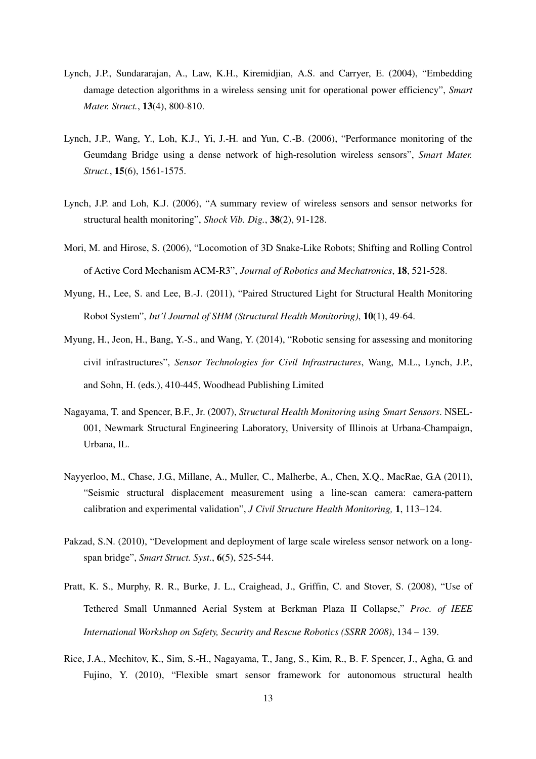- Lynch, J.P., Sundararajan, A., Law, K.H., Kiremidjian, A.S. and Carryer, E. (2004), "Embedding damage detection algorithms in a wireless sensing unit for operational power efficiency", *Smart Mater. Struct.*, **13**(4), 800-810.
- Lynch, J.P., Wang, Y., Loh, K.J., Yi, J.-H. and Yun, C.-B. (2006), "Performance monitoring of the Geumdang Bridge using a dense network of high-resolution wireless sensors", *Smart Mater. Struct.*, **15**(6), 1561-1575.
- Lynch, J.P. and Loh, K.J. (2006), "A summary review of wireless sensors and sensor networks for structural health monitoring", *Shock Vib. Dig.*, **38**(2), 91-128.
- Mori, M. and Hirose, S. (2006), "Locomotion of 3D Snake-Like Robots; Shifting and Rolling Control of Active Cord Mechanism ACM-R3", *Journal of Robotics and Mechatronics*, **18**, 521-528.
- Myung, H., Lee, S. and Lee, B.-J. (2011), "Paired Structured Light for Structural Health Monitoring Robot System", *Int'l Journal of SHM (Structural Health Monitoring)*, **10**(1), 49-64.
- Myung, H., Jeon, H., Bang, Y.-S., and Wang, Y. (2014), "Robotic sensing for assessing and monitoring civil infrastructures", *Sensor Technologies for Civil Infrastructures*, Wang, M.L., Lynch, J.P., and Sohn, H. (eds.), 410-445, Woodhead Publishing Limited
- Nagayama, T. and Spencer, B.F., Jr. (2007), *Structural Health Monitoring using Smart Sensors*. NSEL-001, Newmark Structural Engineering Laboratory, University of Illinois at Urbana-Champaign, Urbana, IL.
- Nayyerloo, M., Chase, J.G., Millane, A., Muller, C., Malherbe, A., Chen, X.Q., MacRae, G.A (2011), "Seismic structural displacement measurement using a line-scan camera: camera-pattern calibration and experimental validation", *J Civil Structure Health Monitoring,* **1**, 113–124.
- Pakzad, S.N. (2010), "Development and deployment of large scale wireless sensor network on a longspan bridge", *Smart Struct. Syst.*, **6**(5), 525-544.
- Pratt, K. S., Murphy, R. R., Burke, J. L., Craighead, J., Griffin, C. and Stover, S. (2008), "Use of Tethered Small Unmanned Aerial System at Berkman Plaza II Collapse," *Proc. of IEEE International Workshop on Safety, Security and Rescue Robotics (SSRR 2008)*, 134 – 139.
- Rice, J.A., Mechitov, K., Sim, S.-H., Nagayama, T., Jang, S., Kim, R., B. F. Spencer, J., Agha, G. and Fujino, Y. (2010), "Flexible smart sensor framework for autonomous structural health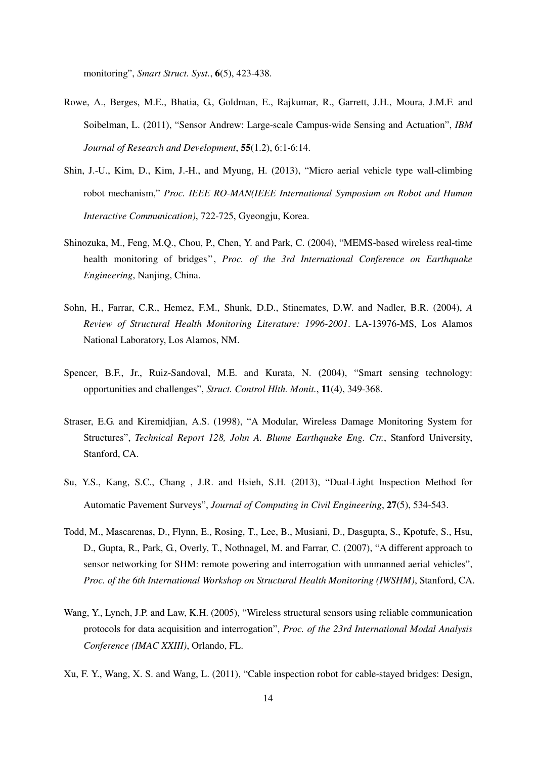monitoring", *Smart Struct. Syst.*, **6**(5), 423-438.

- Rowe, A., Berges, M.E., Bhatia, G., Goldman, E., Rajkumar, R., Garrett, J.H., Moura, J.M.F. and Soibelman, L. (2011), "Sensor Andrew: Large-scale Campus-wide Sensing and Actuation", *IBM Journal of Research and Development*, **55**(1.2), 6:1-6:14.
- Shin, J.-U., Kim, D., Kim, J.-H., and Myung, H. (2013), "Micro aerial vehicle type wall-climbing robot mechanism," *Proc. IEEE RO-MAN(IEEE International Symposium on Robot and Human Interactive Communication)*, 722-725, Gyeongju, Korea.
- Shinozuka, M., Feng, M.Q., Chou, P., Chen, Y. and Park, C. (2004), "MEMS-based wireless real-time health monitoring of bridges", *Proc. of the 3rd International Conference on Earthquake Engineering*, Nanjing, China.
- Sohn, H., Farrar, C.R., Hemez, F.M., Shunk, D.D., Stinemates, D.W. and Nadler, B.R. (2004), *A Review of Structural Health Monitoring Literature: 1996-2001*. LA-13976-MS, Los Alamos National Laboratory, Los Alamos, NM.
- Spencer, B.F., Jr., Ruiz-Sandoval, M.E. and Kurata, N. (2004), "Smart sensing technology: opportunities and challenges", *Struct. Control Hlth. Monit.*, **11**(4), 349-368.
- Straser, E.G. and Kiremidjian, A.S. (1998), "A Modular, Wireless Damage Monitoring System for Structures", *Technical Report 128, John A. Blume Earthquake Eng. Ctr.*, Stanford University, Stanford, CA.
- Su, Y.S., Kang, S.C., Chang , J.R. and Hsieh, S.H. (2013), "Dual-Light Inspection Method for Automatic Pavement Surveys", *Journal of Computing in Civil Engineering*, **27**(5), 534-543.
- Todd, M., Mascarenas, D., Flynn, E., Rosing, T., Lee, B., Musiani, D., Dasgupta, S., Kpotufe, S., Hsu, D., Gupta, R., Park, G., Overly, T., Nothnagel, M. and Farrar, C. (2007), "A different approach to sensor networking for SHM: remote powering and interrogation with unmanned aerial vehicles", *Proc. of the 6th International Workshop on Structural Health Monitoring (IWSHM)*, Stanford, CA.
- Wang, Y., Lynch, J.P. and Law, K.H. (2005), "Wireless structural sensors using reliable communication protocols for data acquisition and interrogation", *Proc. of the 23rd International Modal Analysis Conference (IMAC XXIII)*, Orlando, FL.
- Xu, F. Y., Wang, X. S. and Wang, L. (2011), "Cable inspection robot for cable-stayed bridges: Design,